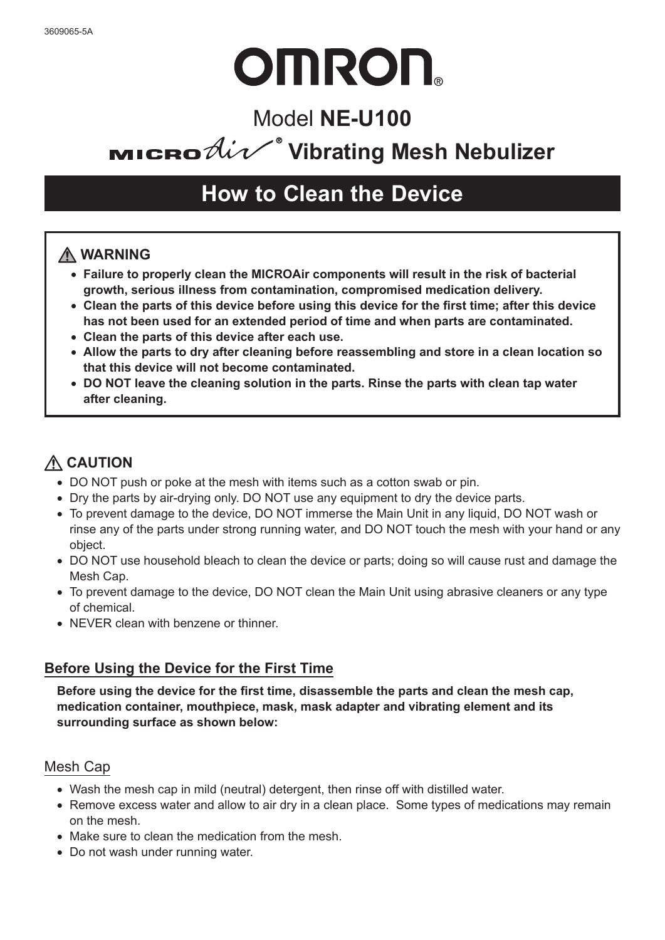# **OMRON**

## Model **NE-U100**

# **MICRO**  $\hat{\mathcal{U}}$ <sup>®</sup> Vibrating Mesh Nebulizer

## **How to Clean the Device**

### **WARNING**

- **Failure to properly clean the MICROAir components will result in the risk of bacterial growth, serious illness from contamination, compromised medication delivery.**
- **Clean the parts of this device before using this device for the first time; after this device has not been used for an extended period of time and when parts are contaminated.**
- **Clean the parts of this device after each use.**
- **Allow the parts to dry after cleaning before reassembling and store in a clean location so that this device will not become contaminated.**
- **DO NOT leave the cleaning solution in the parts. Rinse the parts with clean tap water after cleaning.**

## **CAUTION**

- DO NOT push or poke at the mesh with items such as a cotton swab or pin.
- Dry the parts by air-drying only. DO NOT use any equipment to dry the device parts.
- To prevent damage to the device, DO NOT immerse the Main Unit in any liquid, DO NOT wash or rinse any of the parts under strong running water, and DO NOT touch the mesh with your hand or any object.
- DO NOT use household bleach to clean the device or parts; doing so will cause rust and damage the Mesh Cap.
- To prevent damage to the device, DO NOT clean the Main Unit using abrasive cleaners or any type of chemical.
- NEVER clean with benzene or thinner.

#### **Before Using the Device for the First Time**

**Before using the device for the first time, disassemble the parts and clean the mesh cap, medication container, mouthpiece, mask, mask adapter and vibrating element and its surrounding surface as shown below:**

#### Mesh Cap

- Wash the mesh cap in mild (neutral) detergent, then rinse off with distilled water.
- Remove excess water and allow to air dry in a clean place. Some types of medications may remain on the mesh.
- Make sure to clean the medication from the mesh.
- Do not wash under running water.